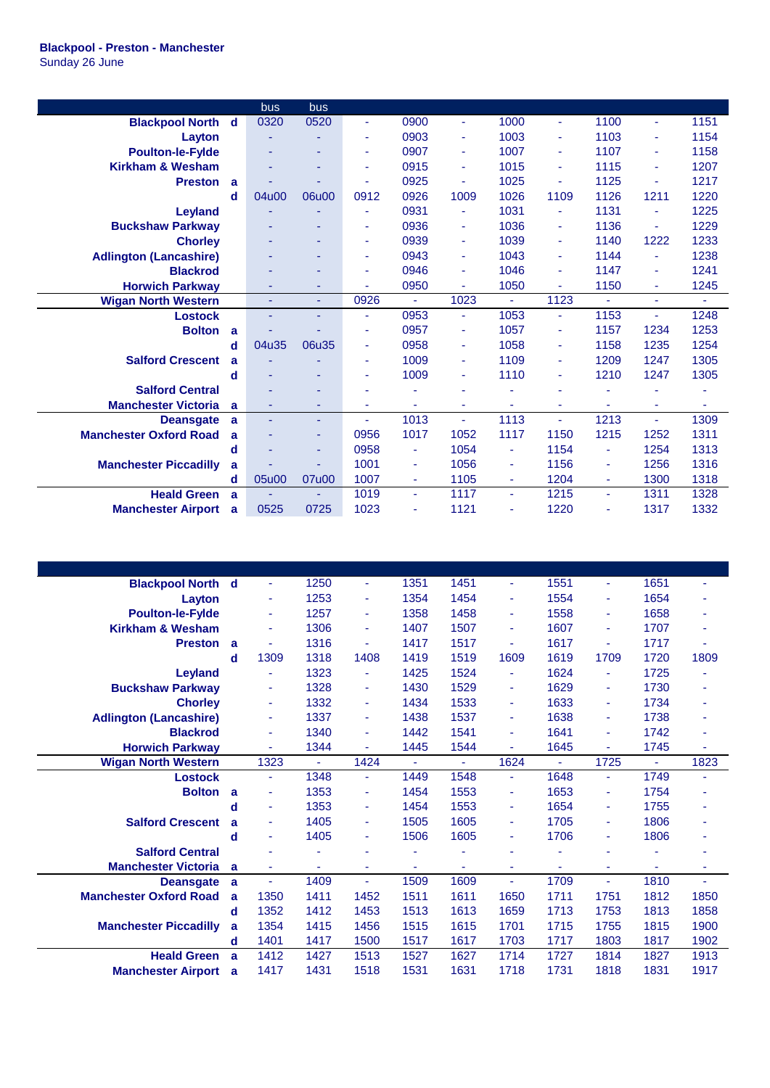|                               |              | bus   | bus   |                |      |                          |                |                |                |        |      |
|-------------------------------|--------------|-------|-------|----------------|------|--------------------------|----------------|----------------|----------------|--------|------|
| <b>Blackpool North</b>        | $\mathbf d$  | 0320  | 0520  | $\blacksquare$ | 0900 | ٠                        | 1000           | $\blacksquare$ | 1100           | ÷.     | 1151 |
| Layton                        |              |       |       | ٠              | 0903 |                          | 1003           | ÷              | 1103           | ٠      | 1154 |
| <b>Poulton-le-Fylde</b>       |              |       | ۰     |                | 0907 |                          | 1007           | ٠              | 1107           | ٠      | 1158 |
| <b>Kirkham &amp; Wesham</b>   |              | ۰     | ۰     | ٠              | 0915 | ٠                        | 1015           | ٠              | 1115           | ٠      | 1207 |
| <b>Preston</b>                | $\mathbf{a}$ |       |       |                | 0925 |                          | 1025           | ٠              | 1125           |        | 1217 |
|                               | d            | 04u00 | 06u00 | 0912           | 0926 | 1009                     | 1026           | 1109           | 1126           | 1211   | 1220 |
| <b>Leyland</b>                |              |       | ۰     |                | 0931 |                          | 1031           | ۰              | 1131           | ٠      | 1225 |
| <b>Buckshaw Parkway</b>       |              |       | ۰     | ٠              | 0936 | ٠                        | 1036           | ۰              | 1136           |        | 1229 |
| <b>Chorley</b>                |              |       | ٠     | ٠              | 0939 | ۰                        | 1039           | ٠              | 1140           | 1222   | 1233 |
| <b>Adlington (Lancashire)</b> |              |       | ۰     | ٠              | 0943 | ٠                        | 1043           | ٠              | 1144           |        | 1238 |
| <b>Blackrod</b>               |              |       | ۰     |                | 0946 | ۰                        | 1046           | ٠              | 1147           | ٠      | 1241 |
| <b>Horwich Parkway</b>        |              | ٠     | ٠     |                | 0950 | ٠                        | 1050           | ٠              | 1150           | $\sim$ | 1245 |
| <b>Wigan North Western</b>    |              | ٠     | ٠     | 0926           | ÷    | 1023                     | $\mathbf{r}$   | 1123           | ÷,             | ÷      | ÷.   |
| <b>Lostock</b>                |              | ٠     | ٠     | $\blacksquare$ | 0953 | ٠                        | 1053           | Ξ              | 1153           | ÷.     | 1248 |
| <b>Bolton</b>                 | a            |       |       | ٠              | 0957 | ۰                        | 1057           | ٠              | 1157           | 1234   | 1253 |
|                               | d            | 04u35 | 06u35 | ٠              | 0958 | ٠                        | 1058           | ۰              | 1158           | 1235   | 1254 |
| <b>Salford Crescent</b>       | a            |       |       | ٠              | 1009 | ٠                        | 1109           | ۰              | 1209           | 1247   | 1305 |
|                               | d            |       |       |                | 1009 |                          | 1110           | ٠              | 1210           | 1247   | 1305 |
| <b>Salford Central</b>        |              |       | ۰     |                |      |                          |                | ä              |                |        | ٠    |
| <b>Manchester Victoria</b>    | a            | ٠     | ۰     | ٠              | ٠    | ٠                        | ۰              | ٠              | $\blacksquare$ | ٠      | ٠    |
| <b>Deansgate</b>              | a            |       | ٠     |                | 1013 | $\overline{\phantom{a}}$ | 1113           | ٠              | 1213           | ٠      | 1309 |
| <b>Manchester Oxford Road</b> | a            |       | ٠     | 0956           | 1017 | 1052                     | 1117           | 1150           | 1215           | 1252   | 1311 |
|                               | d            |       | ٠     | 0958           | ۰    | 1054                     | ä,             | 1154           | ٠              | 1254   | 1313 |
| <b>Manchester Piccadilly</b>  | a            |       |       | 1001           | ٠    | 1056                     | ÷              | 1156           | ٠              | 1256   | 1316 |
|                               | d            | 05u00 | 07u00 | 1007           | ÷    | 1105                     | $\sim$         | 1204           | $\blacksquare$ | 1300   | 1318 |
| <b>Heald Green</b>            | a            |       |       | 1019           | ٠    | 1117                     | $\blacksquare$ | 1215           | $\blacksquare$ | 1311   | 1328 |
| <b>Manchester Airport</b>     | a            | 0525  | 0725  | 1023           |      | 1121                     | ۰              | 1220           |                | 1317   | 1332 |

| <b>Blackpool North</b>        | d | ٠              | 1250           | ÷              | 1351 | 1451           | ÷              | 1551           | ٠              | 1651           |      |
|-------------------------------|---|----------------|----------------|----------------|------|----------------|----------------|----------------|----------------|----------------|------|
| Layton                        |   | ٠              | 1253           | $\blacksquare$ | 1354 | 1454           | ÷              | 1554           | ٠              | 1654           |      |
| <b>Poulton-le-Fylde</b>       |   | ٠              | 1257           | $\blacksquare$ | 1358 | 1458           | ÷              | 1558           | ٠              | 1658           |      |
| <b>Kirkham &amp; Wesham</b>   |   | ٠              | 1306           | ٠              | 1407 | 1507           | ٠              | 1607           | ٠              | 1707           |      |
| <b>Preston</b>                | a | $\blacksquare$ | 1316           | ä,             | 1417 | 1517           | ä,             | 1617           | ä,             | 1717           |      |
|                               | d | 1309           | 1318           | 1408           | 1419 | 1519           | 1609           | 1619           | 1709           | 1720           | 1809 |
| Leyland                       |   | ٠              | 1323           |                | 1425 | 1524           | ٠              | 1624           | ä,             | 1725           |      |
| <b>Buckshaw Parkway</b>       |   | ٠              | 1328           | ÷              | 1430 | 1529           | ÷              | 1629           | ÷              | 1730           |      |
| <b>Chorley</b>                |   | ٠              | 1332           | ÷              | 1434 | 1533           | ÷              | 1633           | ٠              | 1734           |      |
| <b>Adlington (Lancashire)</b> |   | ٠              | 1337           | ÷              | 1438 | 1537           | ٠              | 1638           | ä,             | 1738           |      |
| <b>Blackrod</b>               |   | ٠              | 1340           | ÷              | 1442 | 1541           | ٠              | 1641           | ٠              | 1742           |      |
| <b>Horwich Parkway</b>        |   | ٠              | 1344           | ä,             | 1445 | 1544           | ÷.             | 1645           | ä,             | 1745           |      |
| <b>Wigan North Western</b>    |   | 1323           | $\blacksquare$ | 1424           | ÷    | $\blacksquare$ | 1624           | $\blacksquare$ | 1725           | $\blacksquare$ | 1823 |
| <b>Lostock</b>                |   | ٠              | 1348           | ÷              | 1449 | 1548           | ÷              | 1648           | ÷              | 1749           |      |
| <b>Bolton</b>                 | a | ٠              | 1353           | $\blacksquare$ | 1454 | 1553           | ٠              | 1653           | ÷              | 1754           |      |
|                               |   |                |                |                |      |                |                |                |                |                |      |
|                               | d | ٠              | 1353           | ÷              | 1454 | 1553           | ÷              | 1654           | $\blacksquare$ | 1755           |      |
| <b>Salford Crescent</b>       | a | ٠              | 1405           | $\blacksquare$ | 1505 | 1605           | ٠              | 1705           | $\blacksquare$ | 1806           |      |
|                               | d | ٠              | 1405           | ٠              | 1506 | 1605           | ٠              | 1706           | ٠              | 1806           |      |
| <b>Salford Central</b>        |   | ٠              | ٠              |                |      |                | ٠              |                |                |                | ۰    |
| <b>Manchester Victoria</b>    | a | ٠              | ٠              | ٠              | ٠    | ÷              | $\blacksquare$ | ä,             | ٠              | ٠              | ٠    |
| <b>Deansgate</b>              | a | ٠              | 1409           | ÷              | 1509 | 1609           | ÷              | 1709           | $\blacksquare$ | 1810           | ÷.   |
| <b>Manchester Oxford Road</b> | a | 1350           | 1411           | 1452           | 1511 | 1611           | 1650           | 1711           | 1751           | 1812           | 1850 |
|                               | d | 1352           | 1412           | 1453           | 1513 | 1613           | 1659           | 1713           | 1753           | 1813           | 1858 |
| <b>Manchester Piccadilly</b>  | a | 1354           | 1415           | 1456           | 1515 | 1615           | 1701           | 1715           | 1755           | 1815           | 1900 |
|                               | d | 1401           | 1417           | 1500           | 1517 | 1617           | 1703           | 1717           | 1803           | 1817           | 1902 |
| <b>Heald Green</b>            | a | 1412           | 1427           | 1513           | 1527 | 1627           | 1714           | 1727           | 1814           | 1827           | 1913 |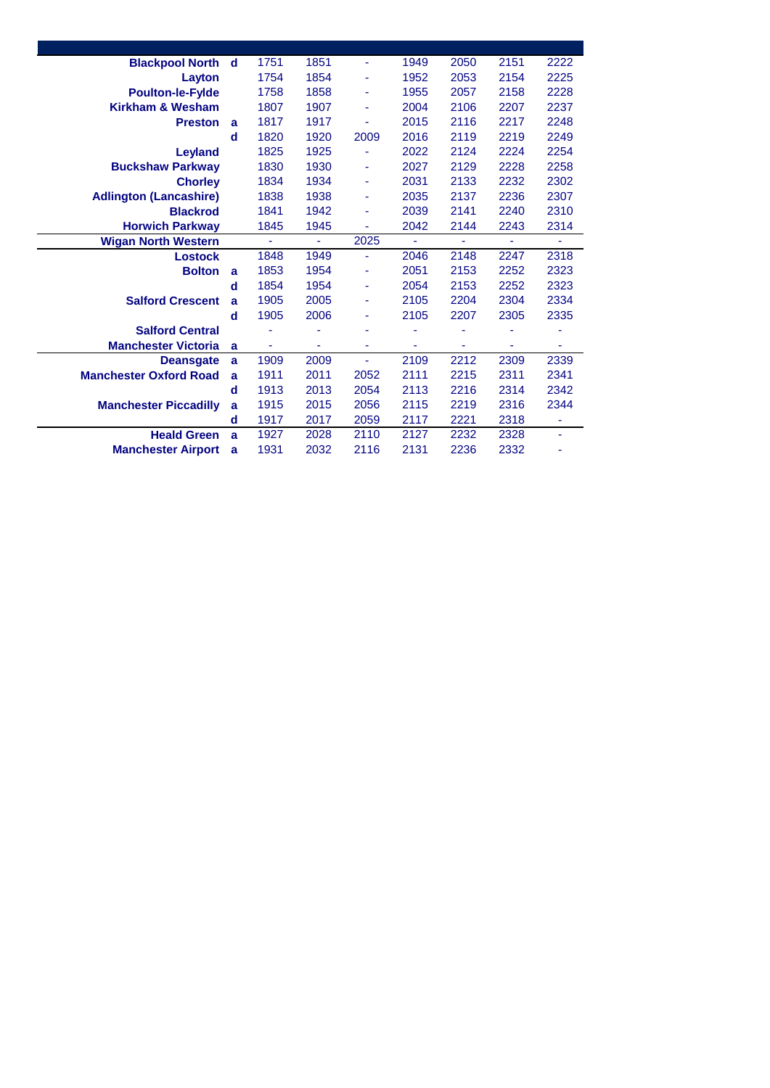| <b>Blackpool North</b>        | d | 1751 | 1851 | ä,   | 1949 | 2050           | 2151           | 2222 |
|-------------------------------|---|------|------|------|------|----------------|----------------|------|
| Layton                        |   | 1754 | 1854 | ۰    | 1952 | 2053           | 2154           | 2225 |
| <b>Poulton-le-Fylde</b>       |   | 1758 | 1858 | ٠    | 1955 | 2057           | 2158           | 2228 |
| <b>Kirkham &amp; Wesham</b>   |   | 1807 | 1907 | ۰    | 2004 | 2106           | 2207           | 2237 |
| <b>Preston</b>                | a | 1817 | 1917 | ä,   | 2015 | 2116           | 2217           | 2248 |
|                               | d | 1820 | 1920 | 2009 | 2016 | 2119           | 2219           | 2249 |
| Leyland                       |   | 1825 | 1925 |      | 2022 | 2124           | 2224           | 2254 |
| <b>Buckshaw Parkway</b>       |   | 1830 | 1930 | ٠    | 2027 | 2129           | 2228           | 2258 |
| <b>Chorley</b>                |   | 1834 | 1934 | ٠    | 2031 | 2133           | 2232           | 2302 |
| <b>Adlington (Lancashire)</b> |   | 1838 | 1938 | ٠    | 2035 | 2137           | 2236           | 2307 |
| <b>Blackrod</b>               |   | 1841 | 1942 | ä,   | 2039 | 2141           | 2240           | 2310 |
| <b>Horwich Parkway</b>        |   | 1845 | 1945 | ä,   | 2042 | 2144           | 2243           | 2314 |
| <b>Wigan North Western</b>    |   | ÷    | ÷    | 2025 | ÷    | $\blacksquare$ | $\blacksquare$ | Ξ    |
| Lostock                       |   | 1848 | 1949 | ÷    | 2046 | 2148           | 2247           | 2318 |
| <b>Bolton</b>                 | a | 1853 | 1954 | ٠    | 2051 | 2153           | 2252           | 2323 |
|                               |   |      |      |      |      |                |                |      |
|                               | d | 1854 | 1954 | ٠    | 2054 | 2153           | 2252           | 2323 |
| <b>Salford Crescent</b>       | a | 1905 | 2005 | ٠    | 2105 | 2204           | 2304           | 2334 |
|                               | d | 1905 | 2006 | ۰    | 2105 | 2207           | 2305           | 2335 |
| <b>Salford Central</b>        |   |      | ä,   | ä,   | ٠    | ۰              |                |      |
| <b>Manchester Victoria</b>    | a | ۰    | ٠    | ٠    | ۰    | ٠              | ٠              | ٠    |
| <b>Deansgate</b>              | a | 1909 | 2009 | ä,   | 2109 | 2212           | 2309           | 2339 |
| <b>Manchester Oxford Road</b> | a | 1911 | 2011 | 2052 | 2111 | 2215           | 2311           | 2341 |
|                               | d | 1913 | 2013 | 2054 | 2113 | 2216           | 2314           | 2342 |
| <b>Manchester Piccadilly</b>  | a | 1915 | 2015 | 2056 | 2115 | 2219           | 2316           | 2344 |
|                               | d | 1917 | 2017 | 2059 | 2117 | 2221           | 2318           | ٠    |
| <b>Heald Green</b>            | a | 1927 | 2028 | 2110 | 2127 | 2232           | 2328           | ٠    |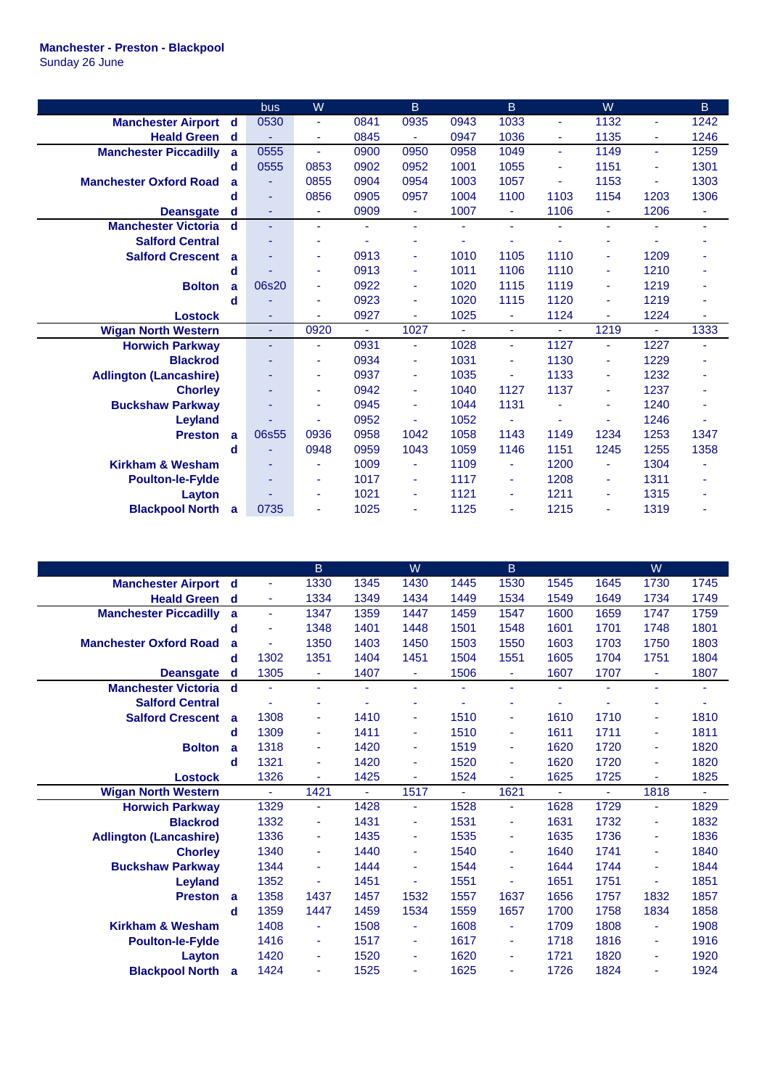## **Manchester - Preston - Blackpool**

Sunday 26 June

|                               |   | bus   | W                        |      | B.             |      | B                        |                | W              |                | <sub>B</sub> |
|-------------------------------|---|-------|--------------------------|------|----------------|------|--------------------------|----------------|----------------|----------------|--------------|
| <b>Manchester Airport</b>     | d | 0530  | $\blacksquare$           | 0841 | 0935           | 0943 | 1033                     | $\blacksquare$ | 1132           | ٠              | 1242         |
| <b>Heald Green</b>            | d |       | ٠                        | 0845 | ä,             | 0947 | 1036                     | ٠              | 1135           | $\blacksquare$ | 1246         |
| <b>Manchester Piccadilly</b>  | a | 0555  | ÷                        | 0900 | 0950           | 0958 | 1049                     | $\sim$         | 1149           | $\sim$         | 1259         |
|                               | d | 0555  | 0853                     | 0902 | 0952           | 1001 | 1055                     | $\blacksquare$ | 1151           | $\blacksquare$ | 1301         |
| <b>Manchester Oxford Road</b> | a | ٠     | 0855                     | 0904 | 0954           | 1003 | 1057                     | ٠              | 1153           | $\blacksquare$ | 1303         |
|                               | d | ٠     | 0856                     | 0905 | 0957           | 1004 | 1100                     | 1103           | 1154           | 1203           | 1306         |
| <b>Deansgate</b>              | d | ٠     | ٠                        | 0909 | $\blacksquare$ | 1007 | $\blacksquare$           | 1106           | ٠              | 1206           | ۰            |
| <b>Manchester Victoria</b>    | d | ٠     | $\sim$                   |      | $\blacksquare$ | ٠    | ÷                        | ٠              | ÷              | ä,             | ٠            |
| <b>Salford Central</b>        |   | ٠     | ٠                        |      | ٠              |      |                          |                |                |                |              |
| <b>Salford Crescent</b>       | a |       | ٠                        | 0913 | $\blacksquare$ | 1010 | 1105                     | 1110           |                | 1209           |              |
|                               | d |       | ÷                        | 0913 | $\blacksquare$ | 1011 | 1106                     | 1110           |                | 1210           |              |
| <b>Bolton</b>                 | a | 06s20 | ٠                        | 0922 | $\blacksquare$ | 1020 | 1115                     | 1119           | ٠              | 1219           |              |
|                               | d |       | $\overline{\phantom{a}}$ | 0923 | $\blacksquare$ | 1020 | 1115                     | 1120           |                | 1219           | ٠            |
| <b>Lostock</b>                |   | ٠     |                          | 0927 | ÷.             | 1025 | $\overline{\phantom{a}}$ | 1124           | $\blacksquare$ | 1224           | ä,           |
| <b>Wigan North Western</b>    |   | Ξ     | 0920                     | ÷.   | 1027           |      | ÷,                       | $\sim$         | 1219           | ä,             | 1333         |
| <b>Horwich Parkway</b>        |   | ٠     | ٠                        | 0931 | $\blacksquare$ | 1028 | ÷,                       | 1127           | ٠              | 1227           | ÷.           |
| <b>Blackrod</b>               |   | ٠     | $\blacksquare$           | 0934 | ÷              | 1031 | ä,                       | 1130           | ٠              | 1229           |              |
| <b>Adlington (Lancashire)</b> |   | ٠     | ٠                        | 0937 | ٠              | 1035 |                          | 1133           |                | 1232           |              |
| <b>Chorley</b>                |   | ٠     | ÷                        | 0942 | ÷              | 1040 | 1127                     | 1137           | ٠              | 1237           | ÷            |
| <b>Buckshaw Parkway</b>       |   | ٠     | ٠                        | 0945 | $\blacksquare$ | 1044 | 1131                     |                | ٠              | 1240           | ۰            |
| Leyland                       |   |       |                          | 0952 |                | 1052 |                          |                |                | 1246           |              |
| <b>Preston</b>                | a | 06s55 | 0936                     | 0958 | 1042           | 1058 | 1143                     | 1149           | 1234           | 1253           | 1347         |
|                               | d | ۳     | 0948                     | 0959 | 1043           | 1059 | 1146                     | 1151           | 1245           | 1255           | 1358         |
| <b>Kirkham &amp; Wesham</b>   |   | ٠     | ÷                        | 1009 | ÷              | 1109 | ÷                        | 1200           |                | 1304           |              |
| <b>Poulton-le-Fylde</b>       |   | ٠     | ٠                        | 1017 | ÷              | 1117 | ÷                        | 1208           | ٠              | 1311           | ۰            |
| Layton                        |   |       | ٠                        | 1021 | $\blacksquare$ | 1121 | ÷                        | 1211           |                | 1315           |              |
| <b>Blackpool North</b>        | a | 0735  | ä,                       | 1025 | $\blacksquare$ | 1125 | ٠                        | 1215           | ٠              | 1319           |              |

|                               |   |                | $\mathsf B$ |              | W    |              | $\mathsf B$              |              |              | W    |              |
|-------------------------------|---|----------------|-------------|--------------|------|--------------|--------------------------|--------------|--------------|------|--------------|
| <b>Manchester Airport</b>     | d | ÷              | 1330        | 1345         | 1430 | 1445         | 1530                     | 1545         | 1645         | 1730 | 1745         |
| <b>Heald Green</b>            | d | $\blacksquare$ | 1334        | 1349         | 1434 | 1449         | 1534                     | 1549         | 1649         | 1734 | 1749         |
| <b>Manchester Piccadilly</b>  | a | $\blacksquare$ | 1347        | 1359         | 1447 | 1459         | 1547                     | 1600         | 1659         | 1747 | 1759         |
|                               | d | ä,             | 1348        | 1401         | 1448 | 1501         | 1548                     | 1601         | 1701         | 1748 | 1801         |
| <b>Manchester Oxford Road</b> | a | ä,             | 1350        | 1403         | 1450 | 1503         | 1550                     | 1603         | 1703         | 1750 | 1803         |
|                               | d | 1302           | 1351        | 1404         | 1451 | 1504         | 1551                     | 1605         | 1704         | 1751 | 1804         |
| <b>Deansgate</b>              | d | 1305           | ٠           | 1407         | ÷    | 1506         | ÷.                       | 1607         | 1707         | ÷.   | 1807         |
| <b>Manchester Victoria</b>    | d | ä,             | ÷           |              | ٠    |              | ä,                       | ÷            | ٠            | ÷.   | ۰            |
| <b>Salford Central</b>        |   |                | ٠           |              | ۰    |              |                          |              |              |      |              |
| <b>Salford Crescent</b>       | a | 1308           | ٠           | 1410         | ٠    | 1510         | ä,                       | 1610         | 1710         | ٠    | 1810         |
|                               | d | 1309           | ٠           | 1411         | ٠    | 1510         | $\blacksquare$           | 1611         | 1711         | ٠    | 1811         |
| <b>Bolton</b>                 | a | 1318           | ٠           | 1420         | ٠    | 1519         | $\blacksquare$           | 1620         | 1720         | ٠    | 1820         |
|                               | d | 1321           | ٠           | 1420         | ٠    | 1520         | ä,                       | 1620         | 1720         | ٠    | 1820         |
| <b>Lostock</b>                |   | 1326           | ٠           | 1425         | ٠    | 1524         | ٠                        | 1625         | 1725         | ٠    | 1825         |
| <b>Wigan North Western</b>    |   | ÷.             | 1421        | ÷.           | 1517 | ÷            | 1621                     | ÷            | н.           | 1818 | ٠            |
| <b>Horwich Parkway</b>        |   | 1329           | ÷           | 1428         | ٠    | 1528         | $\blacksquare$           | 1628         | 1729         | ÷    | 1829         |
| <b>Blackrod</b>               |   | 1332           | ٠           | 1431         | ٠    | 1531         | $\blacksquare$           | 1631         | 1732         | ٠    | 1832         |
| <b>Adlington (Lancashire)</b> |   | 1336           | ۰           | 1435         | ٠    | 1535         | ٠                        | 1635         | 1736         | ۰    | 1836         |
| <b>Chorley</b>                |   | 1340           | ٠           | 1440         | ٠    | 1540         | ä,                       | 1640         | 1741         | ٠    | 1840         |
| <b>Buckshaw Parkway</b>       |   | 1344           | ٠           | 1444         | ٠    | 1544         | $\blacksquare$           | 1644         | 1744         | ٠    | 1844         |
| <b>Leyland</b>                |   | 1352           |             | 1451         | ٠    | 1551         |                          | 1651         | 1751         |      | 1851         |
| <b>Preston</b>                | a | 1358           | 1437        | 1457         | 1532 | 1557         | 1637                     | 1656         | 1757         | 1832 | 1857         |
|                               | d | 1359           | 1447        | 1459         | 1534 | 1559         | 1657                     | 1700         | 1758         | 1834 | 1858         |
| <b>Kirkham &amp; Wesham</b>   |   | 1408           | ÷           | 1508         | ٠    | 1608         | ÷                        | 1709         | 1808         | ٠    | 1908         |
| <b>Poulton-le-Fylde</b>       |   | 1416           | ٠           | 1517         | ٠    | 1617         | ÷                        | 1718         | 1816         | ÷    | 1916         |
|                               |   |                |             |              |      |              |                          |              |              |      |              |
| Layton                        |   | 1420<br>1424   | ٠           | 1520<br>1525 | ٠    | 1620<br>1625 | $\overline{\phantom{a}}$ | 1721<br>1726 | 1820<br>1824 | ٠    | 1920<br>1924 |